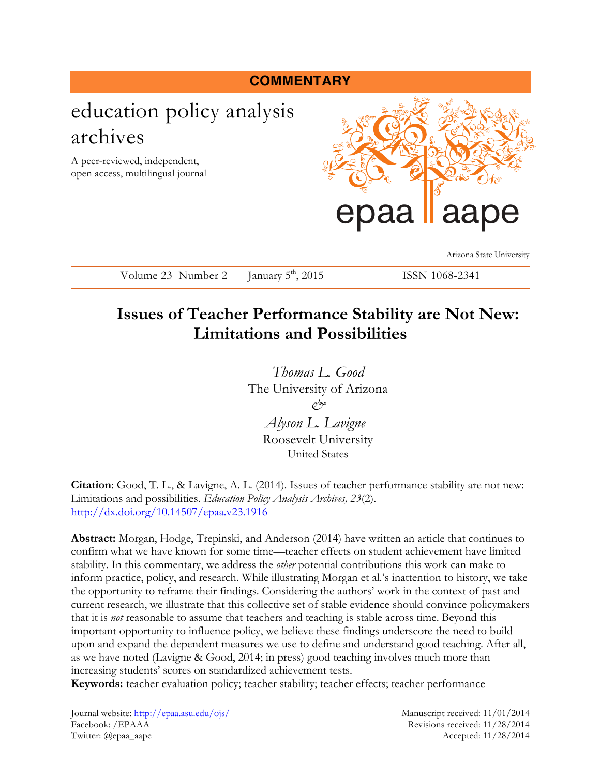

Arizona State University

Volume 23 Number 2 January 5<sup>th</sup>, 2015 ISSN 1068-2341

# **Issues of Teacher Performance Stability are Not New: Limitations and Possibilities**

*Thomas L. Good* The University of Arizona *& Alyson L. Lavigne* Roosevelt University United States

**Citation**: Good, T. L., & Lavigne, A. L. (2014). Issues of teacher performance stability are not new: Limitations and possibilities. *Education Policy Analysis Archives, 23*(2). http://dx.doi.org/10.14507/epaa.v23.1916

**Abstract:** Morgan, Hodge, Trepinski, and Anderson (2014) have written an article that continues to confirm what we have known for some time—teacher effects on student achievement have limited stability. In this commentary, we address the *other* potential contributions this work can make to inform practice, policy, and research. While illustrating Morgan et al.'s inattention to history, we take the opportunity to reframe their findings. Considering the authors' work in the context of past and current research, we illustrate that this collective set of stable evidence should convince policymakers that it is *not* reasonable to assume that teachers and teaching is stable across time. Beyond this important opportunity to influence policy, we believe these findings underscore the need to build upon and expand the dependent measures we use to define and understand good teaching. After all, as we have noted (Lavigne & Good, 2014; in press) good teaching involves much more than increasing students' scores on standardized achievement tests.

**Keywords:** teacher evaluation policy; teacher stability; teacher effects; teacher performance

Journal website: http://epaa.asu.edu/ojs/ Manuscript received: 11/01/2014 Facebook: /EPAAA Revisions received: 11/28/2014 Twitter: @epaa\_aape Accepted: 11/28/2014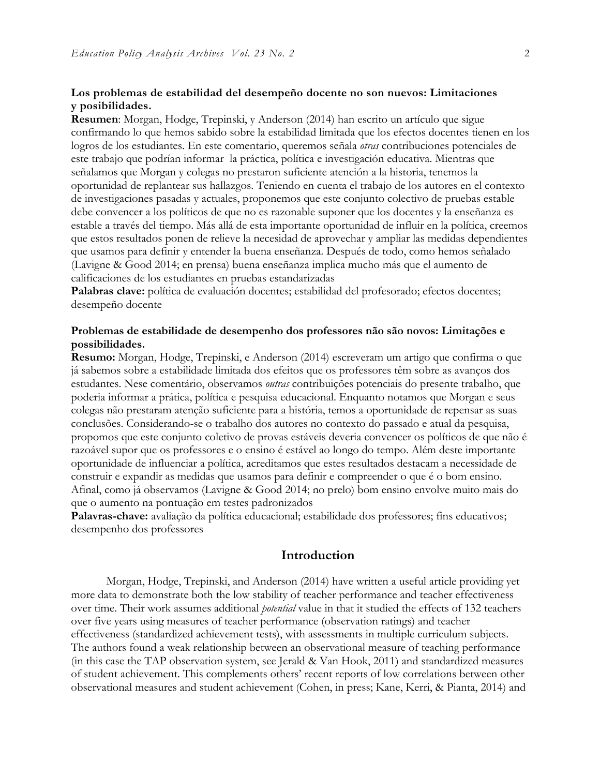# **Los problemas de estabilidad del desempeño docente no son nuevos: Limitaciones y posibilidades.**

**Resumen**: Morgan, Hodge, Trepinski, y Anderson (2014) han escrito un artículo que sigue confirmando lo que hemos sabido sobre la estabilidad limitada que los efectos docentes tienen en los logros de los estudiantes. En este comentario, queremos señala *otras* contribuciones potenciales de este trabajo que podrían informar la práctica, política e investigación educativa. Mientras que señalamos que Morgan y colegas no prestaron suficiente atención a la historia, tenemos la oportunidad de replantear sus hallazgos. Teniendo en cuenta el trabajo de los autores en el contexto de investigaciones pasadas y actuales, proponemos que este conjunto colectivo de pruebas estable debe convencer a los políticos de que no es razonable suponer que los docentes y la enseñanza es estable a través del tiempo. Más allá de esta importante oportunidad de influir en la política, creemos que estos resultados ponen de relieve la necesidad de aprovechar y ampliar las medidas dependientes que usamos para definir y entender la buena enseñanza. Después de todo, como hemos señalado (Lavigne & Good 2014; en prensa) buena enseñanza implica mucho más que el aumento de calificaciones de los estudiantes en pruebas estandarizadas

**Palabras clave:** política de evaluación docentes; estabilidad del profesorado; efectos docentes; desempeño docente

# **Problemas de estabilidade de desempenho dos professores não são novos: Limitações e possibilidades.**

**Resumo:** Morgan, Hodge, Trepinski, e Anderson (2014) escreveram um artigo que confirma o que já sabemos sobre a estabilidade limitada dos efeitos que os professores têm sobre as avanços dos estudantes. Nese comentário, observamos *outras* contribuições potenciais do presente trabalho, que poderia informar a prática, política e pesquisa educacional. Enquanto notamos que Morgan e seus colegas não prestaram atenção suficiente para a história, temos a oportunidade de repensar as suas conclusões. Considerando-se o trabalho dos autores no contexto do passado e atual da pesquisa, propomos que este conjunto coletivo de provas estáveis deveria convencer os políticos de que não é razoável supor que os professores e o ensino é estável ao longo do tempo. Além deste importante oportunidade de influenciar a política, acreditamos que estes resultados destacam a necessidade de construir e expandir as medidas que usamos para definir e compreender o que é o bom ensino. Afinal, como já observamos (Lavigne & Good 2014; no prelo) bom ensino envolve muito mais do que o aumento na pontuação em testes padronizados

**Palavras-chave:** avaliação da política educacional; estabilidade dos professores; fins educativos; desempenho dos professores

# **Introduction**

Morgan, Hodge, Trepinski, and Anderson (2014) have written a useful article providing yet more data to demonstrate both the low stability of teacher performance and teacher effectiveness over time. Their work assumes additional *potential* value in that it studied the effects of 132 teachers over five years using measures of teacher performance (observation ratings) and teacher effectiveness (standardized achievement tests), with assessments in multiple curriculum subjects. The authors found a weak relationship between an observational measure of teaching performance (in this case the TAP observation system, see Jerald & Van Hook, 2011) and standardized measures of student achievement. This complements others' recent reports of low correlations between other observational measures and student achievement (Cohen, in press; Kane, Kerri, & Pianta, 2014) and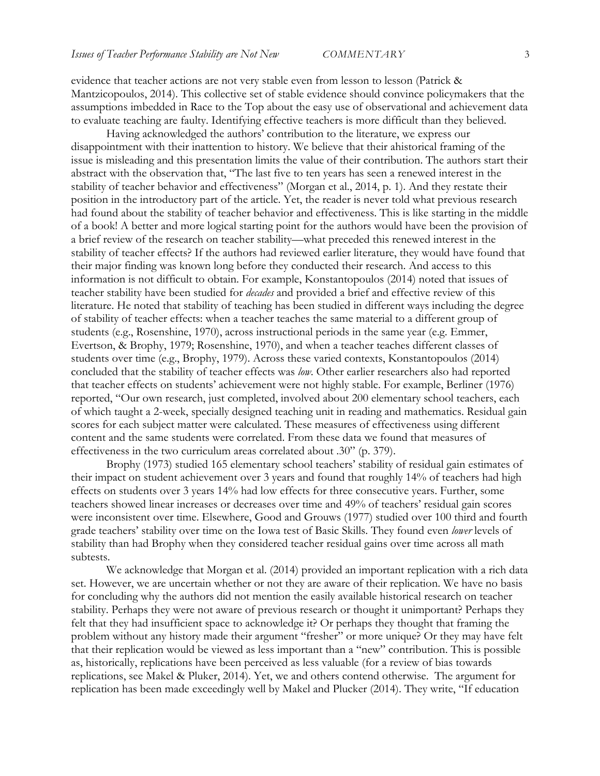evidence that teacher actions are not very stable even from lesson to lesson (Patrick & Mantzicopoulos, 2014). This collective set of stable evidence should convince policymakers that the assumptions imbedded in Race to the Top about the easy use of observational and achievement data to evaluate teaching are faulty. Identifying effective teachers is more difficult than they believed.

Having acknowledged the authors' contribution to the literature, we express our disappointment with their inattention to history. We believe that their ahistorical framing of the issue is misleading and this presentation limits the value of their contribution. The authors start their abstract with the observation that, "The last five to ten years has seen a renewed interest in the stability of teacher behavior and effectiveness" (Morgan et al., 2014, p. 1). And they restate their position in the introductory part of the article. Yet, the reader is never told what previous research had found about the stability of teacher behavior and effectiveness. This is like starting in the middle of a book! A better and more logical starting point for the authors would have been the provision of a brief review of the research on teacher stability—what preceded this renewed interest in the stability of teacher effects? If the authors had reviewed earlier literature, they would have found that their major finding was known long before they conducted their research. And access to this information is not difficult to obtain. For example, Konstantopoulos (2014) noted that issues of teacher stability have been studied for *decades* and provided a brief and effective review of this literature. He noted that stability of teaching has been studied in different ways including the degree of stability of teacher effects: when a teacher teaches the same material to a different group of students (e.g., Rosenshine, 1970), across instructional periods in the same year (e.g. Emmer, Evertson, & Brophy, 1979; Rosenshine, 1970), and when a teacher teaches different classes of students over time (e.g., Brophy, 1979). Across these varied contexts, Konstantopoulos (2014) concluded that the stability of teacher effects was *low*. Other earlier researchers also had reported that teacher effects on students' achievement were not highly stable. For example, Berliner (1976) reported, "Our own research, just completed, involved about 200 elementary school teachers, each of which taught a 2-week, specially designed teaching unit in reading and mathematics. Residual gain scores for each subject matter were calculated. These measures of effectiveness using different content and the same students were correlated. From these data we found that measures of effectiveness in the two curriculum areas correlated about .30" (p. 379).

Brophy (1973) studied 165 elementary school teachers' stability of residual gain estimates of their impact on student achievement over 3 years and found that roughly 14% of teachers had high effects on students over 3 years 14% had low effects for three consecutive years. Further, some teachers showed linear increases or decreases over time and 49% of teachers' residual gain scores were inconsistent over time. Elsewhere, Good and Grouws (1977) studied over 100 third and fourth grade teachers' stability over time on the Iowa test of Basic Skills. They found even *lower* levels of stability than had Brophy when they considered teacher residual gains over time across all math subtests.

We acknowledge that Morgan et al. (2014) provided an important replication with a rich data set. However, we are uncertain whether or not they are aware of their replication. We have no basis for concluding why the authors did not mention the easily available historical research on teacher stability. Perhaps they were not aware of previous research or thought it unimportant? Perhaps they felt that they had insufficient space to acknowledge it? Or perhaps they thought that framing the problem without any history made their argument "fresher" or more unique? Or they may have felt that their replication would be viewed as less important than a "new" contribution. This is possible as, historically, replications have been perceived as less valuable (for a review of bias towards replications, see Makel & Pluker, 2014). Yet, we and others contend otherwise. The argument for replication has been made exceedingly well by Makel and Plucker (2014). They write, "If education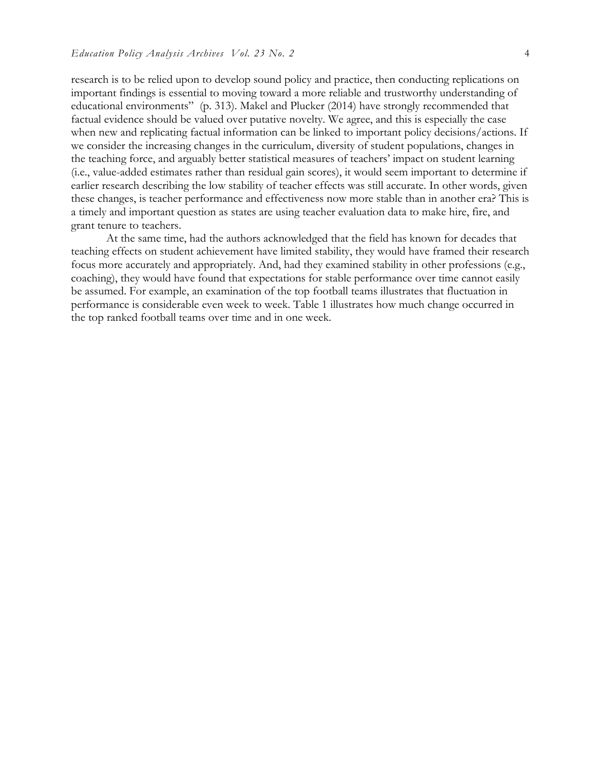research is to be relied upon to develop sound policy and practice, then conducting replications on important findings is essential to moving toward a more reliable and trustworthy understanding of educational environments" (p. 313). Makel and Plucker (2014) have strongly recommended that factual evidence should be valued over putative novelty. We agree, and this is especially the case when new and replicating factual information can be linked to important policy decisions/actions. If we consider the increasing changes in the curriculum, diversity of student populations, changes in the teaching force, and arguably better statistical measures of teachers' impact on student learning (i.e., value-added estimates rather than residual gain scores), it would seem important to determine if earlier research describing the low stability of teacher effects was still accurate. In other words, given these changes, is teacher performance and effectiveness now more stable than in another era? This is a timely and important question as states are using teacher evaluation data to make hire, fire, and grant tenure to teachers.

At the same time, had the authors acknowledged that the field has known for decades that teaching effects on student achievement have limited stability, they would have framed their research focus more accurately and appropriately. And, had they examined stability in other professions (e.g., coaching), they would have found that expectations for stable performance over time cannot easily be assumed. For example, an examination of the top football teams illustrates that fluctuation in performance is considerable even week to week. Table 1 illustrates how much change occurred in the top ranked football teams over time and in one week.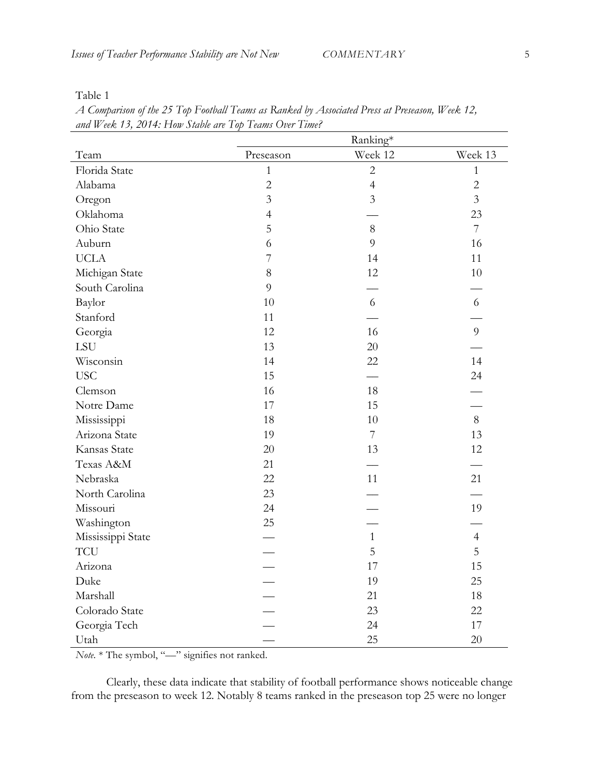Table 1

*A Comparison of the 25 Top Football Teams as Ranked by Associated Press at Preseason, Week 12, and Week 13, 2014: How Stable are Top Teams Over Time?*

|                   | Ranking*                 |                |                |  |
|-------------------|--------------------------|----------------|----------------|--|
| Team              | Preseason                | Week 12        | Week 13        |  |
| Florida State     | $\mathbf{1}$             | $\overline{2}$ | $\mathbf{1}$   |  |
| Alabama           | $\overline{c}$           | $\overline{4}$ | $\overline{2}$ |  |
| Oregon            | $\overline{3}$           | $\overline{3}$ | $\mathfrak{Z}$ |  |
| Oklahoma          | $\overline{4}$           |                | 23             |  |
| Ohio State        | 5                        | 8              | $\overline{7}$ |  |
| Auburn            | 6                        | 9              | 16             |  |
| <b>UCLA</b>       | 7                        | 14             | 11             |  |
| Michigan State    | 8                        | 12             | 10             |  |
| South Carolina    | 9                        |                |                |  |
| Baylor            | 10                       | 6              | 6              |  |
| Stanford          | 11                       |                |                |  |
| Georgia           | 12                       | 16             | 9              |  |
| LSU               | 13                       | 20             |                |  |
| Wisconsin         | 14                       | 22             | 14             |  |
| <b>USC</b>        | 15                       |                | 24             |  |
| Clemson           | 16                       | 18             |                |  |
| Notre Dame        | 17                       | 15             |                |  |
| Mississippi       | 18                       | 10             | 8              |  |
| Arizona State     | 19                       | $\overline{7}$ | 13             |  |
| Kansas State      | 20                       | 13             | 12             |  |
| Texas A&M         | 21                       |                |                |  |
| Nebraska          | 22                       | 11             | 21             |  |
| North Carolina    | 23                       |                |                |  |
| Missouri          | 24                       |                | 19             |  |
| Washington        | 25                       |                |                |  |
| Mississippi State |                          | $\mathbf{1}$   | $\overline{4}$ |  |
| <b>TCU</b>        |                          | 5              | 5              |  |
| Arizona           |                          | 17             | 15             |  |
| Duke              | $\overline{\phantom{a}}$ | 19             | 25             |  |
| Marshall          |                          | 21             | 18             |  |
| Colorado State    |                          | 23             | 22             |  |
| Georgia Tech      |                          | 24             | 17             |  |
| Utah              |                          | 25             | 20             |  |

*Note.* \* The symbol, "-" signifies not ranked.

Clearly, these data indicate that stability of football performance shows noticeable change from the preseason to week 12. Notably 8 teams ranked in the preseason top 25 were no longer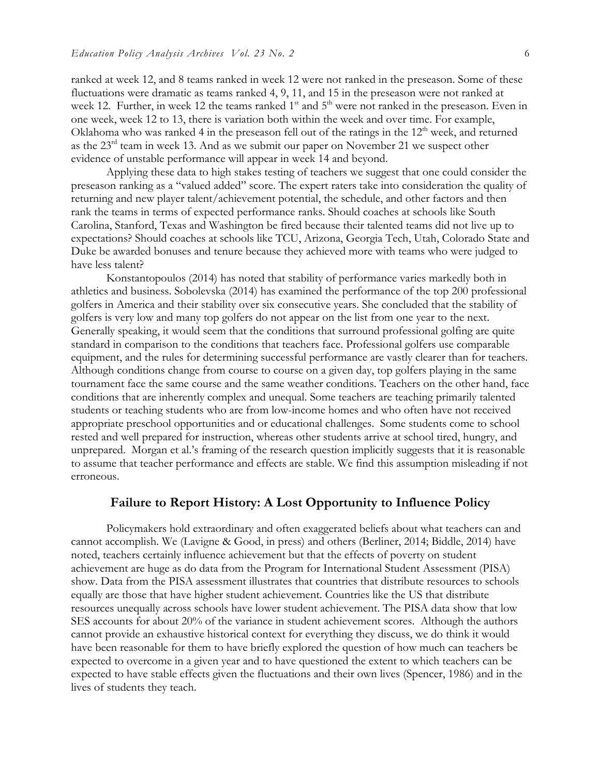ranked at week 12, and 8 teams ranked in week 12 were not ranked in the preseason. Some of these fluctuations were dramatic as teams ranked 4, 9, 11, and 15 in the preseason were not ranked at week 12. Further, in week 12 the teams ranked  $1<sup>st</sup>$  and  $5<sup>th</sup>$  were not ranked in the preseason. Even in one week, week 12 to 13, there is variation both within the week and over time. For example, Oklahoma who was ranked 4 in the preseason fell out of the ratings in the  $12<sup>th</sup>$  week, and returned as the 23rd team in week 13. And as we submit our paper on November 21 we suspect other evidence of unstable performance will appear in week 14 and beyond.

Applying these data to high stakes testing of teachers we suggest that one could consider the preseason ranking as a "valued added" score. The expert raters take into consideration the quality of returning and new player talent/achievement potential, the schedule, and other factors and then rank the teams in terms of expected performance ranks. Should coaches at schools like South Carolina, Stanford, Texas and Washington be fired because their talented teams did not live up to expectations? Should coaches at schools like TCU, Arizona, Georgia Tech, Utah, Colorado State and Duke be awarded bonuses and tenure because they achieved more with teams who were judged to have less talent?

Konstantopoulos (2014) has noted that stability of performance varies markedly both in athletics and business. Sobolevska (2014) has examined the performance of the top 200 professional golfers in America and their stability over six consecutive years. She concluded that the stability of golfers is very low and many top golfers do not appear on the list from one year to the next. Generally speaking, it would seem that the conditions that surround professional golfing are quite standard in comparison to the conditions that teachers face. Professional golfers use comparable equipment, and the rules for determining successful performance are vastly clearer than for teachers. Although conditions change from course to course on a given day, top golfers playing in the same tournament face the same course and the same weather conditions. Teachers on the other hand, face conditions that are inherently complex and unequal. Some teachers are teaching primarily talented students or teaching students who are from low-income homes and who often have not received appropriate preschool opportunities and or educational challenges. Some students come to school rested and well prepared for instruction, whereas other students arrive at school tired, hungry, and unprepared. Morgan et al.'s framing of the research question implicitly suggests that it is reasonable to assume that teacher performance and effects are stable. We find this assumption misleading if not erroneous.

### **Failure to Report History: A Lost Opportunity to Influence Policy**

Policymakers hold extraordinary and often exaggerated beliefs about what teachers can and cannot accomplish. We (Lavigne & Good, in press) and others (Berliner, 2014; Biddle, 2014) have noted, teachers certainly influence achievement but that the effects of poverty on student achievement are huge as do data from the Program for International Student Assessment (PISA) show. Data from the PISA assessment illustrates that countries that distribute resources to schools equally are those that have higher student achievement. Countries like the US that distribute resources unequally across schools have lower student achievement. The PISA data show that low SES accounts for about 20% of the variance in student achievement scores. Although the authors cannot provide an exhaustive historical context for everything they discuss, we do think it would have been reasonable for them to have briefly explored the question of how much can teachers be expected to overcome in a given year and to have questioned the extent to which teachers can be expected to have stable effects given the fluctuations and their own lives (Spencer, 1986) and in the lives of students they teach.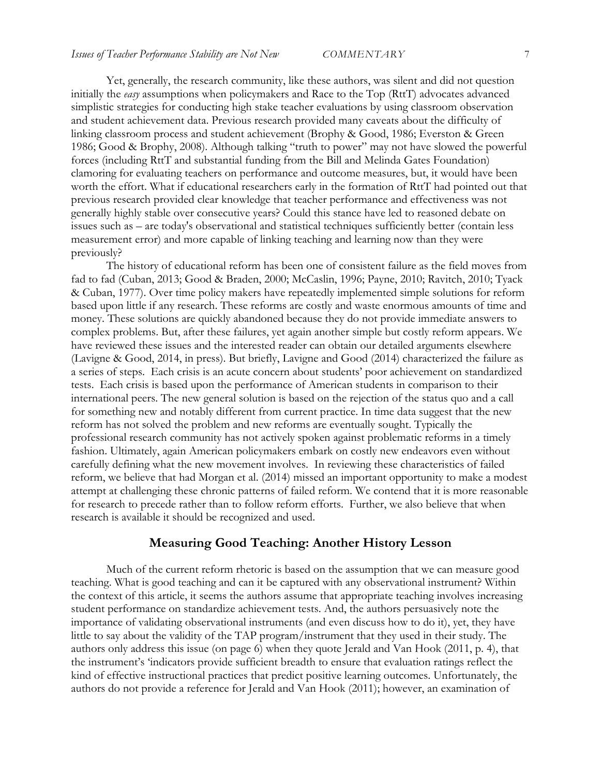Yet, generally, the research community, like these authors, was silent and did not question initially the *easy* assumptions when policymakers and Race to the Top (RttT) advocates advanced simplistic strategies for conducting high stake teacher evaluations by using classroom observation and student achievement data. Previous research provided many caveats about the difficulty of linking classroom process and student achievement (Brophy & Good, 1986; Everston & Green 1986; Good & Brophy, 2008). Although talking "truth to power" may not have slowed the powerful forces (including RttT and substantial funding from the Bill and Melinda Gates Foundation) clamoring for evaluating teachers on performance and outcome measures, but, it would have been worth the effort. What if educational researchers early in the formation of RttT had pointed out that previous research provided clear knowledge that teacher performance and effectiveness was not generally highly stable over consecutive years? Could this stance have led to reasoned debate on issues such as – are today's observational and statistical techniques sufficiently better (contain less measurement error) and more capable of linking teaching and learning now than they were previously?

The history of educational reform has been one of consistent failure as the field moves from fad to fad (Cuban, 2013; Good & Braden, 2000; McCaslin, 1996; Payne, 2010; Ravitch, 2010; Tyack & Cuban, 1977). Over time policy makers have repeatedly implemented simple solutions for reform based upon little if any research. These reforms are costly and waste enormous amounts of time and money. These solutions are quickly abandoned because they do not provide immediate answers to complex problems. But, after these failures, yet again another simple but costly reform appears. We have reviewed these issues and the interested reader can obtain our detailed arguments elsewhere (Lavigne & Good, 2014, in press). But briefly, Lavigne and Good (2014) characterized the failure as a series of steps. Each crisis is an acute concern about students' poor achievement on standardized tests. Each crisis is based upon the performance of American students in comparison to their international peers. The new general solution is based on the rejection of the status quo and a call for something new and notably different from current practice. In time data suggest that the new reform has not solved the problem and new reforms are eventually sought. Typically the professional research community has not actively spoken against problematic reforms in a timely fashion. Ultimately, again American policymakers embark on costly new endeavors even without carefully defining what the new movement involves. In reviewing these characteristics of failed reform, we believe that had Morgan et al. (2014) missed an important opportunity to make a modest attempt at challenging these chronic patterns of failed reform. We contend that it is more reasonable for research to precede rather than to follow reform efforts. Further, we also believe that when research is available it should be recognized and used.

# **Measuring Good Teaching: Another History Lesson**

Much of the current reform rhetoric is based on the assumption that we can measure good teaching. What is good teaching and can it be captured with any observational instrument? Within the context of this article, it seems the authors assume that appropriate teaching involves increasing student performance on standardize achievement tests. And, the authors persuasively note the importance of validating observational instruments (and even discuss how to do it), yet, they have little to say about the validity of the TAP program/instrument that they used in their study. The authors only address this issue (on page 6) when they quote Jerald and Van Hook (2011, p. 4), that the instrument's 'indicators provide sufficient breadth to ensure that evaluation ratings reflect the kind of effective instructional practices that predict positive learning outcomes. Unfortunately, the authors do not provide a reference for Jerald and Van Hook (2011); however, an examination of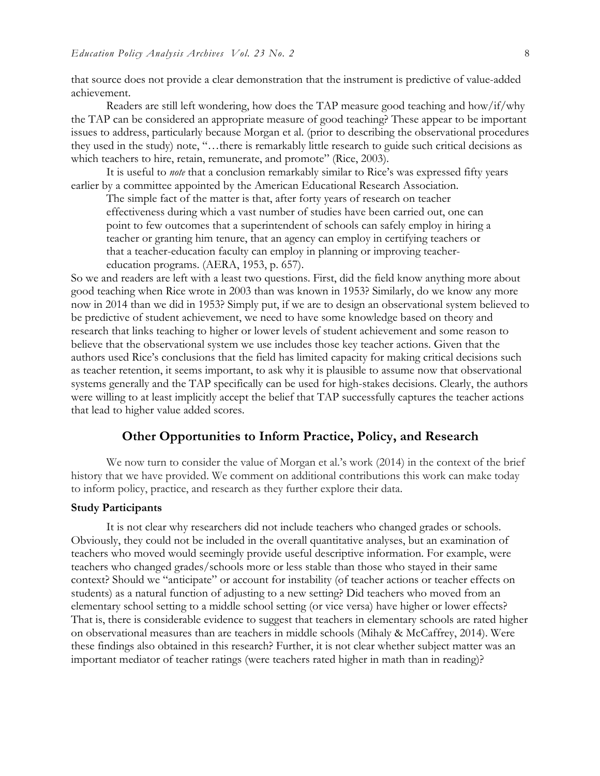that source does not provide a clear demonstration that the instrument is predictive of value-added achievement.

Readers are still left wondering, how does the TAP measure good teaching and how/if/why the TAP can be considered an appropriate measure of good teaching? These appear to be important issues to address, particularly because Morgan et al. (prior to describing the observational procedures they used in the study) note, "…there is remarkably little research to guide such critical decisions as which teachers to hire, retain, remunerate, and promote" (Rice, 2003).

It is useful to *note* that a conclusion remarkably similar to Rice's was expressed fifty years earlier by a committee appointed by the American Educational Research Association.

The simple fact of the matter is that, after forty years of research on teacher effectiveness during which a vast number of studies have been carried out, one can point to few outcomes that a superintendent of schools can safely employ in hiring a teacher or granting him tenure, that an agency can employ in certifying teachers or that a teacher-education faculty can employ in planning or improving teachereducation programs. (AERA, 1953, p. 657).

So we and readers are left with a least two questions. First, did the field know anything more about good teaching when Rice wrote in 2003 than was known in 1953? Similarly, do we know any more now in 2014 than we did in 1953? Simply put, if we are to design an observational system believed to be predictive of student achievement, we need to have some knowledge based on theory and research that links teaching to higher or lower levels of student achievement and some reason to believe that the observational system we use includes those key teacher actions. Given that the authors used Rice's conclusions that the field has limited capacity for making critical decisions such as teacher retention, it seems important, to ask why it is plausible to assume now that observational systems generally and the TAP specifically can be used for high-stakes decisions. Clearly, the authors were willing to at least implicitly accept the belief that TAP successfully captures the teacher actions that lead to higher value added scores.

# **Other Opportunities to Inform Practice, Policy, and Research**

We now turn to consider the value of Morgan et al.'s work (2014) in the context of the brief history that we have provided. We comment on additional contributions this work can make today to inform policy, practice, and research as they further explore their data.

## **Study Participants**

It is not clear why researchers did not include teachers who changed grades or schools. Obviously, they could not be included in the overall quantitative analyses, but an examination of teachers who moved would seemingly provide useful descriptive information. For example, were teachers who changed grades/schools more or less stable than those who stayed in their same context? Should we "anticipate" or account for instability (of teacher actions or teacher effects on students) as a natural function of adjusting to a new setting? Did teachers who moved from an elementary school setting to a middle school setting (or vice versa) have higher or lower effects? That is, there is considerable evidence to suggest that teachers in elementary schools are rated higher on observational measures than are teachers in middle schools (Mihaly & McCaffrey, 2014). Were these findings also obtained in this research? Further, it is not clear whether subject matter was an important mediator of teacher ratings (were teachers rated higher in math than in reading)?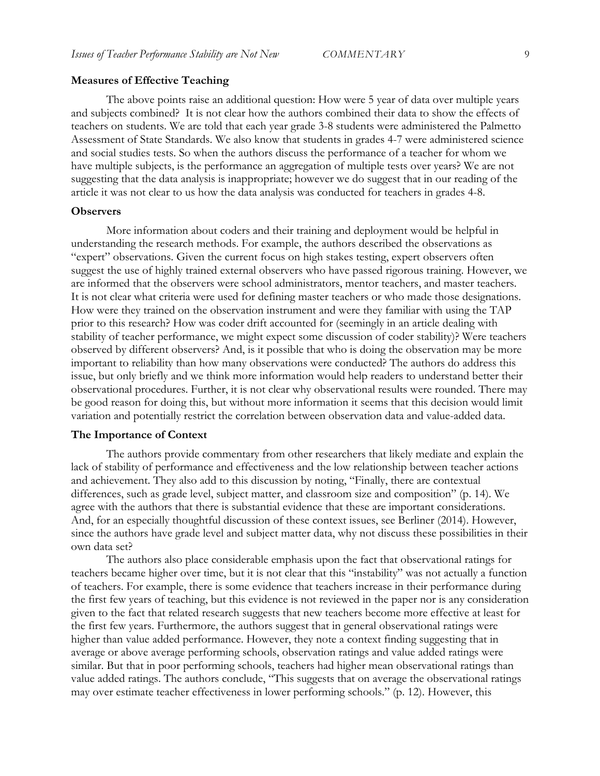# **Measures of Effective Teaching**

The above points raise an additional question: How were 5 year of data over multiple years and subjects combined? It is not clear how the authors combined their data to show the effects of teachers on students. We are told that each year grade 3-8 students were administered the Palmetto Assessment of State Standards. We also know that students in grades 4-7 were administered science and social studies tests. So when the authors discuss the performance of a teacher for whom we have multiple subjects, is the performance an aggregation of multiple tests over years? We are not suggesting that the data analysis is inappropriate; however we do suggest that in our reading of the article it was not clear to us how the data analysis was conducted for teachers in grades 4-8.

#### **Observers**

More information about coders and their training and deployment would be helpful in understanding the research methods. For example, the authors described the observations as "expert" observations. Given the current focus on high stakes testing, expert observers often suggest the use of highly trained external observers who have passed rigorous training. However, we are informed that the observers were school administrators, mentor teachers, and master teachers. It is not clear what criteria were used for defining master teachers or who made those designations. How were they trained on the observation instrument and were they familiar with using the TAP prior to this research? How was coder drift accounted for (seemingly in an article dealing with stability of teacher performance, we might expect some discussion of coder stability)? Were teachers observed by different observers? And, is it possible that who is doing the observation may be more important to reliability than how many observations were conducted? The authors do address this issue, but only briefly and we think more information would help readers to understand better their observational procedures. Further, it is not clear why observational results were rounded. There may be good reason for doing this, but without more information it seems that this decision would limit variation and potentially restrict the correlation between observation data and value-added data.

#### **The Importance of Context**

The authors provide commentary from other researchers that likely mediate and explain the lack of stability of performance and effectiveness and the low relationship between teacher actions and achievement. They also add to this discussion by noting, "Finally, there are contextual differences, such as grade level, subject matter, and classroom size and composition" (p. 14). We agree with the authors that there is substantial evidence that these are important considerations. And, for an especially thoughtful discussion of these context issues, see Berliner (2014). However, since the authors have grade level and subject matter data, why not discuss these possibilities in their own data set?

The authors also place considerable emphasis upon the fact that observational ratings for teachers became higher over time, but it is not clear that this "instability" was not actually a function of teachers. For example, there is some evidence that teachers increase in their performance during the first few years of teaching, but this evidence is not reviewed in the paper nor is any consideration given to the fact that related research suggests that new teachers become more effective at least for the first few years. Furthermore, the authors suggest that in general observational ratings were higher than value added performance. However, they note a context finding suggesting that in average or above average performing schools, observation ratings and value added ratings were similar. But that in poor performing schools, teachers had higher mean observational ratings than value added ratings. The authors conclude, "This suggests that on average the observational ratings may over estimate teacher effectiveness in lower performing schools." (p. 12). However, this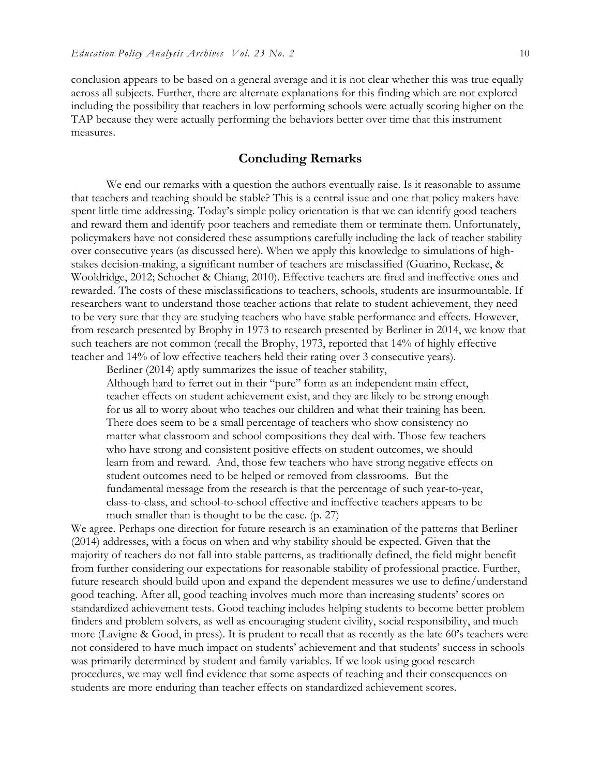conclusion appears to be based on a general average and it is not clear whether this was true equally across all subjects. Further, there are alternate explanations for this finding which are not explored including the possibility that teachers in low performing schools were actually scoring higher on the TAP because they were actually performing the behaviors better over time that this instrument measures.

# **Concluding Remarks**

We end our remarks with a question the authors eventually raise. Is it reasonable to assume that teachers and teaching should be stable? This is a central issue and one that policy makers have spent little time addressing. Today's simple policy orientation is that we can identify good teachers and reward them and identify poor teachers and remediate them or terminate them. Unfortunately, policymakers have not considered these assumptions carefully including the lack of teacher stability over consecutive years (as discussed here). When we apply this knowledge to simulations of highstakes decision-making, a significant number of teachers are misclassified (Guarino, Reckase, & Wooldridge, 2012; Schochet & Chiang, 2010). Effective teachers are fired and ineffective ones and rewarded. The costs of these misclassifications to teachers, schools, students are insurmountable. If researchers want to understand those teacher actions that relate to student achievement, they need to be very sure that they are studying teachers who have stable performance and effects. However, from research presented by Brophy in 1973 to research presented by Berliner in 2014, we know that such teachers are not common (recall the Brophy, 1973, reported that 14% of highly effective teacher and 14% of low effective teachers held their rating over 3 consecutive years).

Berliner (2014) aptly summarizes the issue of teacher stability,

Although hard to ferret out in their "pure" form as an independent main effect, teacher effects on student achievement exist, and they are likely to be strong enough for us all to worry about who teaches our children and what their training has been. There does seem to be a small percentage of teachers who show consistency no matter what classroom and school compositions they deal with. Those few teachers who have strong and consistent positive effects on student outcomes, we should learn from and reward. And, those few teachers who have strong negative effects on student outcomes need to be helped or removed from classrooms. But the fundamental message from the research is that the percentage of such year-to-year, class-to-class, and school-to-school effective and ineffective teachers appears to be much smaller than is thought to be the case. (p. 27)

We agree. Perhaps one direction for future research is an examination of the patterns that Berliner (2014) addresses, with a focus on when and why stability should be expected. Given that the majority of teachers do not fall into stable patterns, as traditionally defined, the field might benefit from further considering our expectations for reasonable stability of professional practice. Further, future research should build upon and expand the dependent measures we use to define/understand good teaching. After all, good teaching involves much more than increasing students' scores on standardized achievement tests. Good teaching includes helping students to become better problem finders and problem solvers, as well as encouraging student civility, social responsibility, and much more (Lavigne & Good, in press). It is prudent to recall that as recently as the late 60's teachers were not considered to have much impact on students' achievement and that students' success in schools was primarily determined by student and family variables. If we look using good research procedures, we may well find evidence that some aspects of teaching and their consequences on students are more enduring than teacher effects on standardized achievement scores.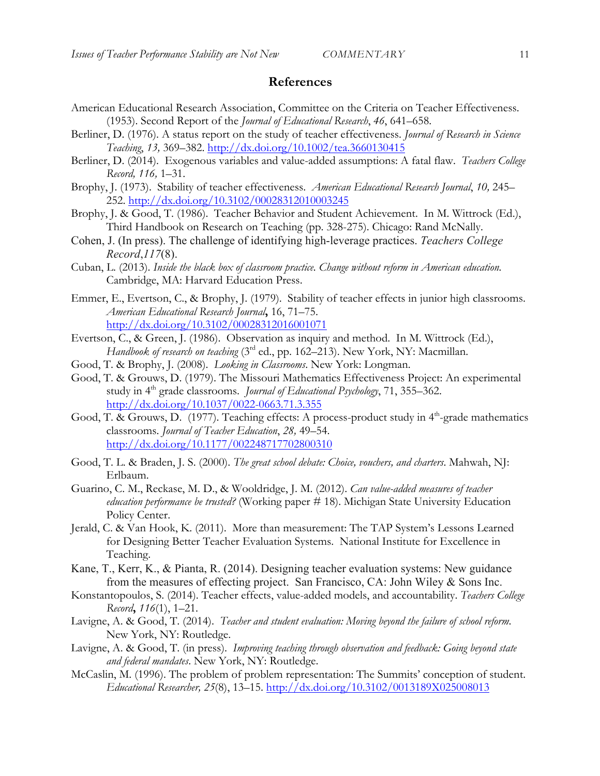# **References**

- American Educational Research Association, Committee on the Criteria on Teacher Effectiveness. (1953). Second Report of the *Journal of Educational Research*, *46*, 641–658.
- Berliner, D. (1976). A status report on the study of teacher effectiveness. *Journal of Research in Science Teaching*, *13,* 369–382. http://dx.doi.org/10.1002/tea.3660130415
- Berliner, D. (2014). Exogenous variables and value-added assumptions: A fatal flaw. *Teachers College Record, 116,* 1–31.
- Brophy, J. (1973). Stability of teacher effectiveness. *American Educational Research Journal*, *10,* 245– 252. http://dx.doi.org/10.3102/00028312010003245
- Brophy, J. & Good, T. (1986). Teacher Behavior and Student Achievement. In M. Wittrock (Ed.), Third Handbook on Research on Teaching (pp. 328-275). Chicago: Rand McNally.
- Cohen, J. (In press). The challenge of identifying high-leverage practices. *Teachers College Record*,*117*(8).
- Cuban, L. (2013). *Inside the black box of classroom practice. Change without reform in American education.* Cambridge, MA: Harvard Education Press.
- Emmer, E., Evertson, C., & Brophy, J. (1979). Stability of teacher effects in junior high classrooms. *American Educational Research Journal***,** 16, 71–75. http://dx.doi.org/10.3102/00028312016001071
- Evertson, C., & Green, J. (1986). Observation as inquiry and method. In M. Wittrock (Ed.), *Handbook of research on teaching* (3rd ed., pp. 162–213). New York, NY: Macmillan.
- Good, T. & Brophy, J. (2008). *Looking in Classrooms*. New York: Longman.
- Good, T. & Grouws, D. (1979). The Missouri Mathematics Effectiveness Project: An experimental study in 4<sup>th</sup> grade classrooms. *Journal of Educational Psychology*, 71, 355–362. http://dx.doi.org/10.1037/0022-0663.71.3.355
- Good, T. & Grouws, D. (1977). Teaching effects: A process-product study in  $4<sup>th</sup>$ -grade mathematics classrooms. *Journal of Teacher Education*, *28,* 49–54. http://dx.doi.org/10.1177/002248717702800310
- Good, T. L. & Braden, J. S. (2000). *The great school debate: Choice, vouchers, and charters*. Mahwah, NJ: Erlbaum.
- Guarino, C. M., Reckase, M. D., & Wooldridge, J. M. (2012). *Can value-added measures of teacher education performance be trusted?* (Working paper # 18). Michigan State University Education Policy Center.
- Jerald, C. & Van Hook, K. (2011). More than measurement: The TAP System's Lessons Learned for Designing Better Teacher Evaluation Systems. National Institute for Excellence in Teaching.
- Kane, T., Kerr, K., & Pianta, R. (2014). Designing teacher evaluation systems: New guidance from the measures of effecting project. San Francisco, CA: John Wiley & Sons Inc.
- Konstantopoulos, S. (2014). Teacher effects, value-added models, and accountability. *Teachers College Record***,** *116*(1), 1–21.
- Lavigne, A. & Good, T. (2014). *Teacher and student evaluation: Moving beyond the failure of school reform*. New York, NY: Routledge.
- Lavigne, A. & Good, T. (in press). *Improving teaching through observation and feedback: Going beyond state and federal mandates*. New York, NY: Routledge.
- McCaslin, M. (1996). The problem of problem representation: The Summits' conception of student. *Educational Researcher, 25*(8), 13–15. http://dx.doi.org/10.3102/0013189X025008013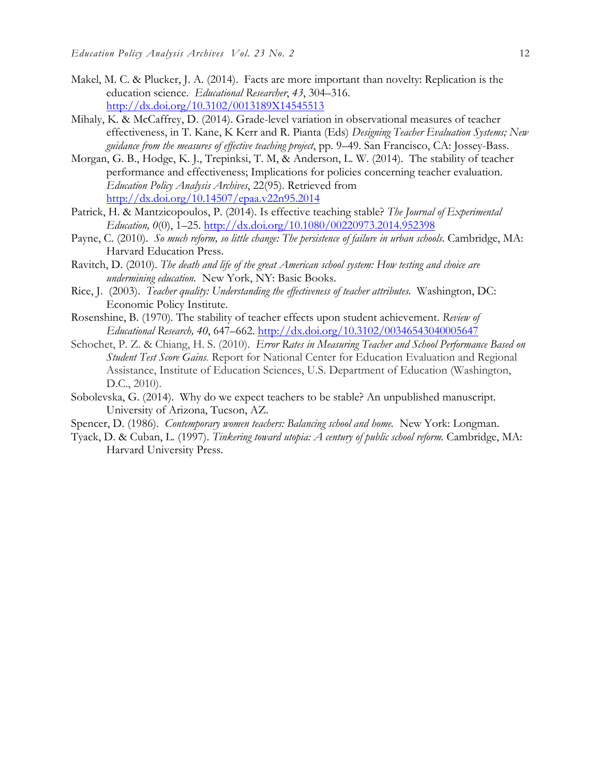- Makel, M. C. & Plucker, J. A. (2014). Facts are more important than novelty: Replication is the education science. *Educational Researcher*, *43*, 304–316. http://dx.doi.org/10.3102/0013189X14545513
- Mihaly, K. & McCaffrey, D. (2014). Grade-level variation in observational measures of teacher effectiveness, in T. Kane, K Kerr and R. Pianta (Eds) *Designing Teacher Evaluation Systems; New guidance from the measures of effective teaching project*, pp. 9–49. San Francisco, CA: Jossey-Bass.
- Morgan, G. B., Hodge, K. J., Trepinksi, T. M, & Anderson, L. W. (2014). The stability of teacher performance and effectiveness; Implications for policies concerning teacher evaluation. *Education Policy Analysis Archives*, 22(95). Retrieved from http://dx.doi.org/10.14507/epaa.v22n95.2014
- Patrick, H. & Mantzicopoulos, P. (2014). Is effective teaching stable? *The Journal of Experimental Education, 0*(0), 1–25. http://dx.doi.org/10.1080/00220973.2014.952398
- Payne, C. (2010). *So much reform, so little change: The persistence of failure in urban schools*. Cambridge, MA: Harvard Education Press.
- Ravitch, D. (2010). *The death and life of the great American school system: How testing and choice are undermining education.* New York, NY: Basic Books.
- Rice, J. (2003). *Teacher quality: Understanding the effectiveness of teacher attributes*. Washington, DC: Economic Policy Institute.
- Rosenshine, B. (1970). The stability of teacher effects upon student achievement. *Review of Educational Research, 40*, 647–662. http://dx.doi.org/10.3102/00346543040005647
- Schochet, P. Z. & Chiang, H. S. (2010). *Error Rates in Measuring Teacher and School Performance Based on Student Test Score Gains.* Report for National Center for Education Evaluation and Regional Assistance, Institute of Education Sciences, U.S. Department of Education (Washington, D.C., 2010).
- Sobolevska, G. (2014). Why do we expect teachers to be stable? An unpublished manuscript. University of Arizona, Tucson, AZ.
- Spencer, D. (1986). *Contemporary women teachers: Balancing school and home.* New York: Longman.
- Tyack, D. & Cuban, L. (1997). *Tinkering toward utopia: A century of public school reform.* Cambridge, MA: Harvard University Press.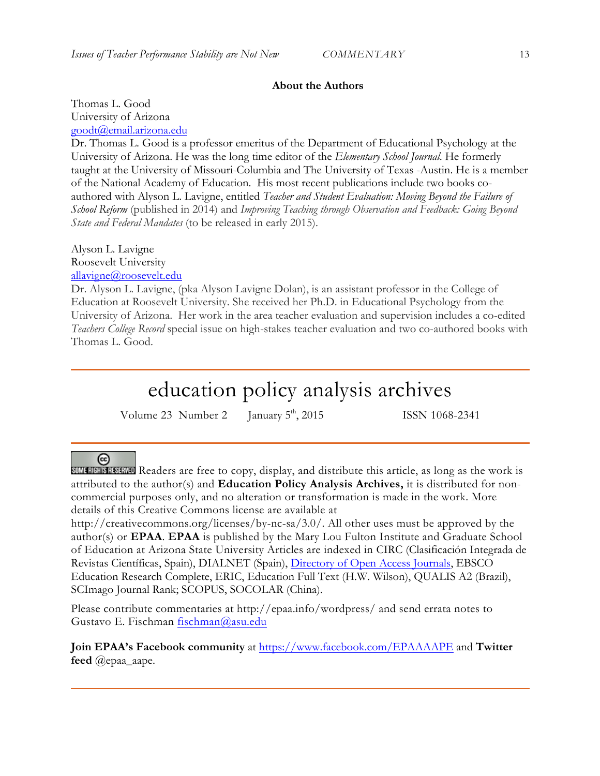## **About the Authors**

Thomas L. Good University of Arizona goodt@email.arizona.edu

Dr. Thomas L. Good is a professor emeritus of the Department of Educational Psychology at the University of Arizona. He was the long time editor of the *Elementary School Journal*. He formerly taught at the University of Missouri-Columbia and The University of Texas -Austin. He is a member of the National Academy of Education. His most recent publications include two books coauthored with Alyson L. Lavigne, entitled *Teacher and Student Evaluation: Moving Beyond the Failure of School Reform* (published in 2014) and *Improving Teaching through Observation and Feedback: Going Beyond State and Federal Mandates* (to be released in early 2015).

Alyson L. Lavigne

Roosevelt University

allavigne@roosevelt.edu

Dr. Alyson L. Lavigne, (pka Alyson Lavigne Dolan), is an assistant professor in the College of Education at Roosevelt University. She received her Ph.D. in Educational Psychology from the University of Arizona. Her work in the area teacher evaluation and supervision includes a co-edited *Teachers College Record* special issue on high-stakes teacher evaluation and two co-authored books with Thomas L. Good.

# education policy analysis archives

Volume 23 Number 2 January 5<sup>th</sup>, 2015 ISSN 1068-2341

# (cc)

SOME RIGHTS RESERVED Readers are free to copy, display, and distribute this article, as long as the work is attributed to the author(s) and **Education Policy Analysis Archives,** it is distributed for noncommercial purposes only, and no alteration or transformation is made in the work. More details of this Creative Commons license are available at

http://creativecommons.org/licenses/by-nc-sa/3.0/. All other uses must be approved by the author(s) or **EPAA**. **EPAA** is published by the Mary Lou Fulton Institute and Graduate School of Education at Arizona State University Articles are indexed in CIRC (Clasificación Integrada de Revistas Científicas, Spain), DIALNET (Spain), Directory of Open Access Journals, EBSCO Education Research Complete, ERIC, Education Full Text (H.W. Wilson), QUALIS A2 (Brazil), SCImago Journal Rank; SCOPUS, SOCOLAR (China).

Please contribute commentaries at http://epaa.info/wordpress/ and send errata notes to Gustavo E. Fischman fischman@asu.edu

**Join EPAA's Facebook community** at https://www.facebook.com/EPAAAAPE and **Twitter feed** @epaa\_aape.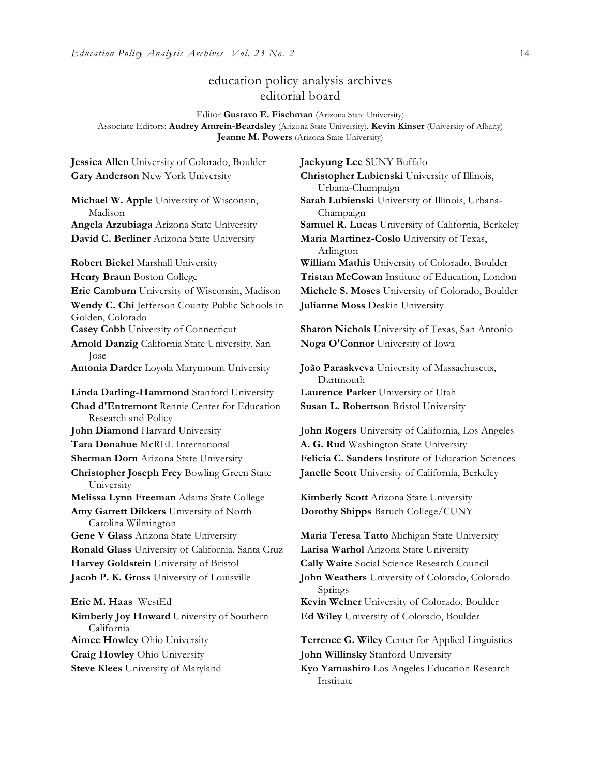# education policy analysis archives editorial board

Editor **Gustavo E. Fischman** (Arizona State University) Associate Editors: **Audrey Amrein-Beardsley** (Arizona State University), **Kevin Kinser** (University of Albany) **Jeanne M. Powers** (Arizona State University)

**Jessica Allen** University of Colorado, Boulder **Jaekyung Lee** SUNY Buffalo

**Michael W. Apple** University of Wisconsin, Madison **David C. Berliner** Arizona State University **Maria Martinez-Coslo** University of Texas,

**Robert Bickel Marshall University William Mathis University of Colorado, Boulder Wendy C. Chi** Jefferson County Public Schools in Golden, Colorado **Casey Cobb** University of Connecticut **Sharon Nichols** University of Texas, San Antonio **Arnold Danzig** California State University, San Jose **Antonia Darder** Loyola Marymount University **João Paraskveva** University of Massachusetts, **Linda Darling-Hammond** Stanford University **Laurence Parker** University of Utah **Chad d'Entremont** Rennie Center for Education Research and Policy **John Diamond** Harvard University **John Rogers** University of California, Los Angeles **Tara Donahue** McREL International **A. G. Rud** Washington State University **Christopher Joseph Frey** Bowling Green State University **Melissa Lynn Freeman** Adams State College **Kimberly Scott** Arizona State University **Amy Garrett Dikkers** University of North Carolina Wilmington **Gene V Glass** Arizona State University **Maria Teresa Tatto** Michigan State University **Ronald Glass** University of California, Santa Cruz **Larisa Warhol** Arizona State University **Harvey Goldstein** University of Bristol **Cally Waite** Social Science Research Council

**Kimberly Joy Howard** University of Southern California **Aimee Howley** Ohio University **Terrence G. Wiley** Center for Applied Linguistics **Craig Howley** Ohio University **John Willinsky** Stanford University **Steve Klees** University of Maryland **Kyo Yamashiro** Los Angeles Education Research

**Gary Anderson** New York University **Christopher Lubienski** University of Illinois, Urbana-Champaign **Sarah Lubienski** University of Illinois, Urbana-Champaign **Angela Arzubiaga** Arizona State University **Samuel R. Lucas** University of California, Berkeley Arlington **Henry Braun** Boston College **Tristan McCowan** Institute of Education, London **Eric Camburn** University of Wisconsin, Madison **Michele S. Moses** University of Colorado, Boulder **Julianne Moss** Deakin University

**Noga O'Connor** University of Iowa

Dartmouth **Susan L. Robertson** Bristol University

**Sherman Dorn** Arizona State University **Felicia C. Sanders** Institute of Education Sciences **Janelle Scott** University of California, Berkeley

**Dorothy Shipps** Baruch College/CUNY

**Jacob P. K. Gross** University of Louisville **John Weathers** University of Colorado, Colorado Springs **Eric M. Haas** WestEd **Kevin Welner** University of Colorado, Boulder **Ed Wiley** University of Colorado, Boulder

Institute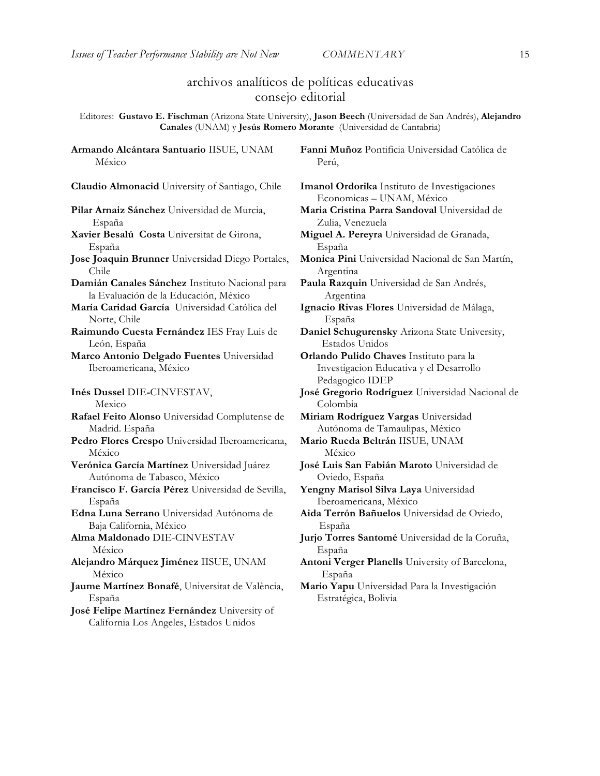**Armando Alcántara Santuario** IISUE, UNAM

# archivos analíticos de políticas educativas consejo editorial

Editores: **Gustavo E. Fischman** (Arizona State University), **Jason Beech** (Universidad de San Andrés), **Alejandro Canales** (UNAM) y **Jesús Romero Morante** (Universidad de Cantabria)

México **Claudio Almonacid** University of Santiago, Chile **Imanol Ordorika** Instituto de Investigaciones **Pilar Arnaiz Sánchez** Universidad de Murcia, España **Xavier Besalú Costa** Universitat de Girona, España **Jose Joaquin Brunner** Universidad Diego Portales, Chile **Damián Canales Sánchez** Instituto Nacional para la Evaluación de la Educación, México **María Caridad García** Universidad Católica del Norte, Chile **Raimundo Cuesta Fernández** IES Fray Luis de León, España **Marco Antonio Delgado Fuentes** Universidad Iberoamericana, México **Inés Dussel** DIE**-**CINVESTAV, Mexico **Rafael Feito Alonso** Universidad Complutense de Madrid. España **Pedro Flores Crespo** Universidad Iberoamericana, México **Verónica García Martínez** Universidad Juárez Autónoma de Tabasco, México **Francisco F. García Pérez** Universidad de Sevilla, España **Edna Luna Serrano** Universidad Autónoma de Baja California, México **Alma Maldonado** DIE-CINVESTAV México **Alejandro Márquez Jiménez** IISUE, UNAM México **Jaume Martínez Bonafé**, Universitat de València, España

**José Felipe Martínez Fernández** University of California Los Angeles, Estados Unidos

**Fanni Muñoz** Pontificia Universidad Católica de Perú,

Economicas – UNAM, México **Maria Cristina Parra Sandoval** Universidad de Zulia, Venezuela **Miguel A. Pereyra** Universidad de Granada, España **Monica Pini** Universidad Nacional de San Martín, Argentina **Paula Razquin** Universidad de San Andrés, Argentina **Ignacio Rivas Flores** Universidad de Málaga, España **Daniel Schugurensky** Arizona State University, Estados Unidos **Orlando Pulido Chaves** Instituto para la Investigacion Educativa y el Desarrollo Pedagogico IDEP **José Gregorio Rodríguez** Universidad Nacional de Colombia **Miriam Rodríguez Vargas** Universidad Autónoma de Tamaulipas, México **Mario Rueda Beltrán** IISUE, UNAM México **José Luis San Fabián Maroto** Universidad de Oviedo, España **Yengny Marisol Silva Laya** Universidad Iberoamericana, México **Aida Terrón Bañuelos** Universidad de Oviedo, España **Jurjo Torres Santomé** Universidad de la Coruña, España **Antoni Verger Planells** University of Barcelona, España **Mario Yapu** Universidad Para la Investigación Estratégica, Bolivia